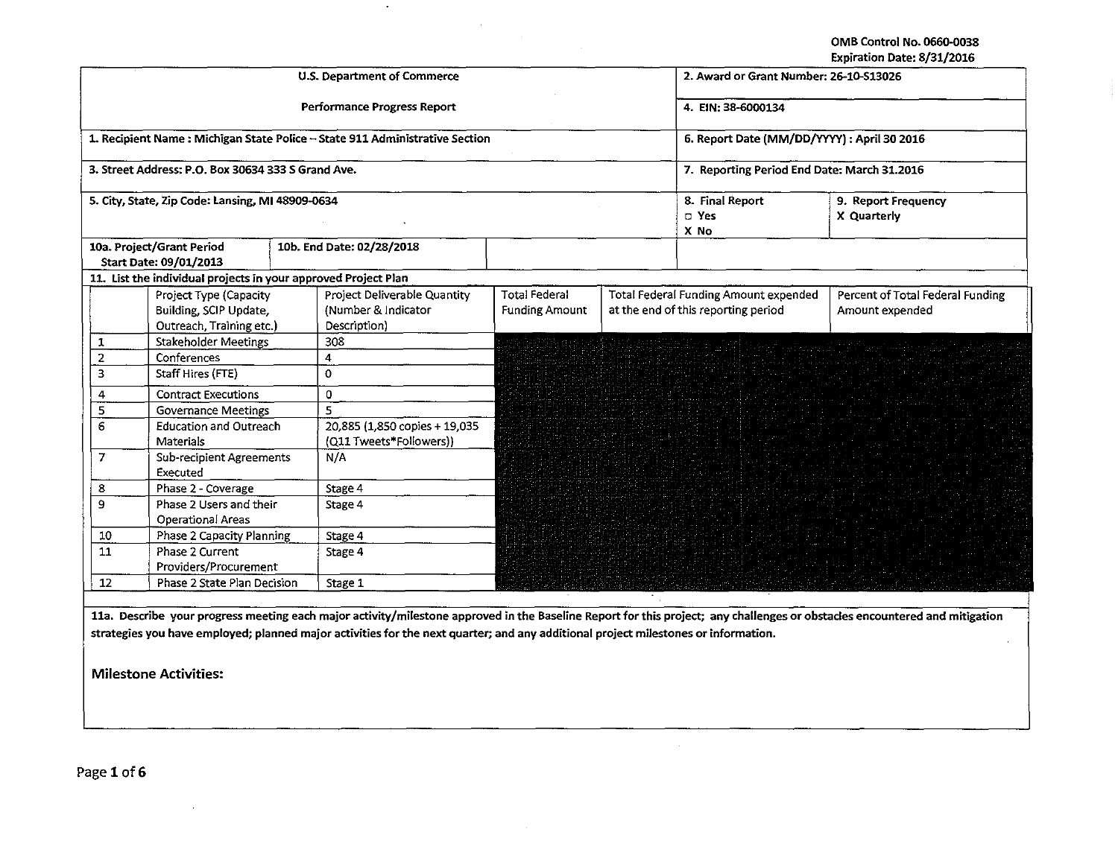OMB Control No. 0660.0038 Expiration Date: 8/31/2016

|                                                  |                                                                              |  |                                                                             |                                               |  |                                                                                     | LADII 811011 DALE. 07 J.H. LUIU                     |
|--------------------------------------------------|------------------------------------------------------------------------------|--|-----------------------------------------------------------------------------|-----------------------------------------------|--|-------------------------------------------------------------------------------------|-----------------------------------------------------|
|                                                  |                                                                              |  | U.S. Department of Commerce                                                 | 2. Award or Grant Number: 26-10-S13026        |  |                                                                                     |                                                     |
|                                                  |                                                                              |  | Performance Progress Report                                                 | 4. EIN: 38-6000134                            |  |                                                                                     |                                                     |
|                                                  |                                                                              |  | 1. Recipient Name: Michigan State Police - State 911 Administrative Section | 6. Report Date (MM/DD/YYYY) : April 30 2016   |  |                                                                                     |                                                     |
|                                                  | 3. Street Address: P.O. Box 30634 333 S Grand Ave.                           |  |                                                                             | 7. Reporting Period End Date: March 31.2016   |  |                                                                                     |                                                     |
| 5. City, State, Zip Code: Lansing, MI 48909-0634 |                                                                              |  |                                                                             |                                               |  | 8. Final Report<br>D Yes<br>X No                                                    | 9. Report Frequency<br>X Quarterly                  |
|                                                  | 10a. Project/Grant Period<br>Start Date: 09/01/2013                          |  | 10b. End Date: 02/28/2018                                                   |                                               |  |                                                                                     |                                                     |
|                                                  | 11. List the individual projects in your approved Project Plan               |  |                                                                             |                                               |  |                                                                                     |                                                     |
|                                                  | Project Type (Capacity<br>Building, SCIP Update,<br>Outreach, Training etc.) |  | Project Deliverable Quantity<br>(Number & Indicator<br>Description)         | <b>Total Federal</b><br><b>Funding Amount</b> |  | <b>Total Federal Funding Amount expended</b><br>at the end of this reporting period | Percent of Total Federal Funding<br>Amount expended |
| 1                                                | <b>Stakeholder Meetings</b>                                                  |  | 308                                                                         |                                               |  |                                                                                     |                                                     |
| $\overline{2}$                                   | Conferences                                                                  |  | $\overline{\mathbf{4}}$                                                     |                                               |  |                                                                                     |                                                     |
| 3                                                | Staff Hires (FTE)                                                            |  | $\mathbf 0$                                                                 |                                               |  |                                                                                     |                                                     |
| 4                                                | <b>Contract Executions</b>                                                   |  | $\mathbf{0}$                                                                |                                               |  |                                                                                     |                                                     |
| $\overline{\mathbf{5}}$                          | <b>Governance Meetings</b>                                                   |  | $\overline{\mathbf{S}}$                                                     |                                               |  |                                                                                     |                                                     |
| $6\phantom{a}$                                   | <b>Education and Outreach</b><br><b>Materials</b>                            |  | 20,885 (1,850 copies + 19,035<br>(Q11 Tweets*Followers))                    |                                               |  |                                                                                     |                                                     |
| $\overline{7}$                                   | <b>Sub-recipient Agreements</b><br>Executed                                  |  | N/A                                                                         |                                               |  |                                                                                     |                                                     |
| 8                                                | Phase 2 - Coverage                                                           |  | Stage 4                                                                     |                                               |  |                                                                                     |                                                     |
| $\mathbf{9}$                                     | Phase 2 Users and their<br><b>Operational Areas</b>                          |  | Stage 4                                                                     |                                               |  |                                                                                     |                                                     |
| 10                                               | <b>Phase 2 Capacity Planning</b>                                             |  | Stage 4                                                                     |                                               |  |                                                                                     |                                                     |
| 11                                               | Phase 2 Current                                                              |  | Stage 4                                                                     |                                               |  |                                                                                     |                                                     |
|                                                  | Providers/Procurement                                                        |  |                                                                             |                                               |  |                                                                                     |                                                     |
| 12                                               | Phase 2 State Plan Decision                                                  |  | Stage 1                                                                     |                                               |  |                                                                                     |                                                     |
|                                                  |                                                                              |  |                                                                             |                                               |  |                                                                                     |                                                     |

 $\blacksquare$ 

 $\sim$   $\sim$ 

11a. Describe your progress meeting each major activity/milestone approved in the Baseline Report for this project; any challenges or obstacles encountered and strategies you have employed; planned major activities for the next quarter; and any additional project milestones or information.

Milestone Activities:

Page 1 of 6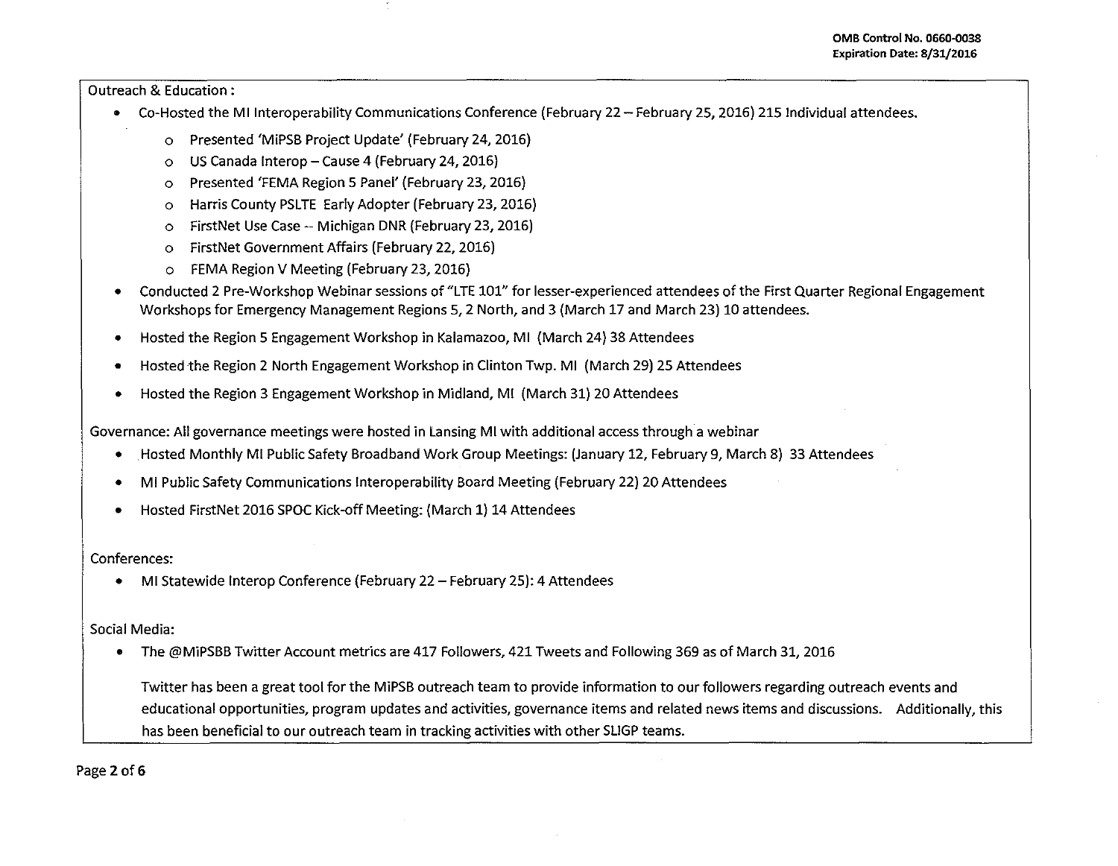Outreach & Education :

- Co-Hosted the Ml lnteroperability Communications Conference (February 22- February 25, 2016) 215 Individual attendees.
	- o Presented 'MiPSB Project Update' (February 24, 2016)
	- o US Canada lnterop- Cause 4 (February 24, 2016)
	- o Presented 'FEMA Region 5 Panel' (February 23, 2016)
	- o Harris County PSLTE Early Adopter (February 23, 2016)
	- o FirstNet Use Case-- Michigan DNR (February 23, 2016)
	- o FirstNet Government Affairs (February 22, 2016)
	- o FEMA Region V Meeting (February 23, 2016)
- Conducted 2 Pre-Workshop Webinar sessions of "LTE 101" for lesser-experienced attendees of the First Quarter Regional Engagement Workshops for Emergency Management Regions 5, 2 North, and 3 (March 17 and March 23) 10 attendees.
- Hosted the Region 5 Engagement Workshop in Kalamazoo, Ml (March 24) 38 Attendees
- Hosted the Region 2 North Engagement Workshop in Clinton Twp. Ml (March 29) 25 Attendees
- Hosted the Region 3 Engagement Workshop in Midland, Ml (March 31) 20 Attendees

Governance: All governance meetings were hosted in Lansing Ml with additional access through a webinar

- . Hosted Monthly Ml Public Safety Broadband Work Group Meetings: (January 12, February 9, March 8) 33 Attendees
- Ml Public Safety Communications lnteroperability Board Meeting (February 22) 20 Attendees
- Hosted FirstNet 2016 SPOC Kick-off Meeting: (March 1) 14 Attendees

Conferences:

• MI Statewide Interop Conference (February 22 - February 25): 4 Attendees

Social Media:

• The @MiPSBB Twitter Account metrics are 417 Followers, 421 Tweets and Following 369 as of March 31, 2016

Twitter has been a great tool for the MiPSB outreach team to provide information to our followers regarding outreach events and educational opportunities, program updates and activities, governance items and related news items and discussions. Additionally, this has been beneficial to our outreach team in tracking activities with other SLIGP teams.

Page 2 of 6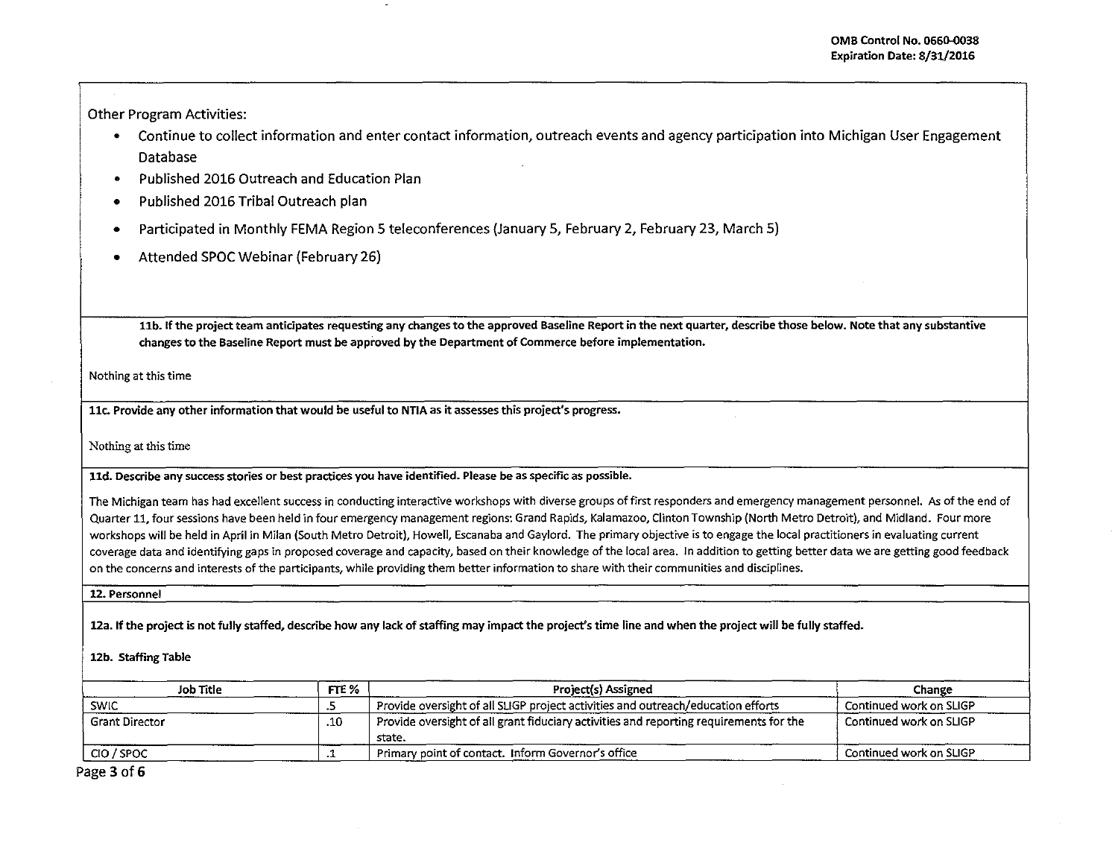Other Program Activities:

- Continue to collect information and enter contact information, outreach events and agency participation into Michigan User Engagement Database
- Published 2016 Outreach and Education Plan
- Published 2016 Tribal Outreach plan
- Participated in Monthly FEMA Region 5 teleconferences (January 5, February 2, February 23, March 5)
- Attended SPOC Webinar (February 26)

llb. If the project team anticipates requesting any changes to the approved Baseline Report in the next quarter, describe those below. Note that any substantive changes to the Baseline Report must be approved by the Department of Commerce before implementation.

Nothing at this time

llc. Provide any other information that would be useful to NTJA as it assesses this project's progress.

Nothing at this time

lld. Describe any success stories or best practices you have identified. Please be as specific as possible.

The Michigan team has had excellent success in conducting interactive workshops with diverse groups of first responders and emergency management personnel. As of the end of Quarter 11, four sessions have been held in four emergency management regions: Grand Rapids, Kalamazoo, Clinton Township {North Metro Detroit), and Midland. Four more workshops will be held in April in Milan {South Metro Detroit). Howell, Escanaba and Gaylord. The primary objective is to engage the local practitioners in evaluating current coverage data and identifying gaps in proposed coverage and capacity, based on their knowledge of the local area. In addition to getting better data we are getting good feedback on the concerns and interests of the participants, while providing them better information to share with their communities and disciplines.

12. Personnel

12a. If the project is not fully staffed, describe how any lack of staffing may impact the project's time line and when the project will be fully staffed.

## 12b. Staffing Table

| FTE %<br>Job Title    |     | Project(s) Assigned                                                                              | Change                  |  |
|-----------------------|-----|--------------------------------------------------------------------------------------------------|-------------------------|--|
| <b>SWIC</b>           |     | Provide oversight of all SLIGP project activities and outreach/education efforts                 | Continued work on SLIGP |  |
| <b>Grant Director</b> | .10 | Provide oversight of all grant fiduciary activities and reporting requirements for the<br>state. | Continued work on SLIGP |  |
| CIO / SPOC            |     | Primary point of contact. Inform Governor's office                                               | Continued work on SLIGP |  |

Page 3 of 6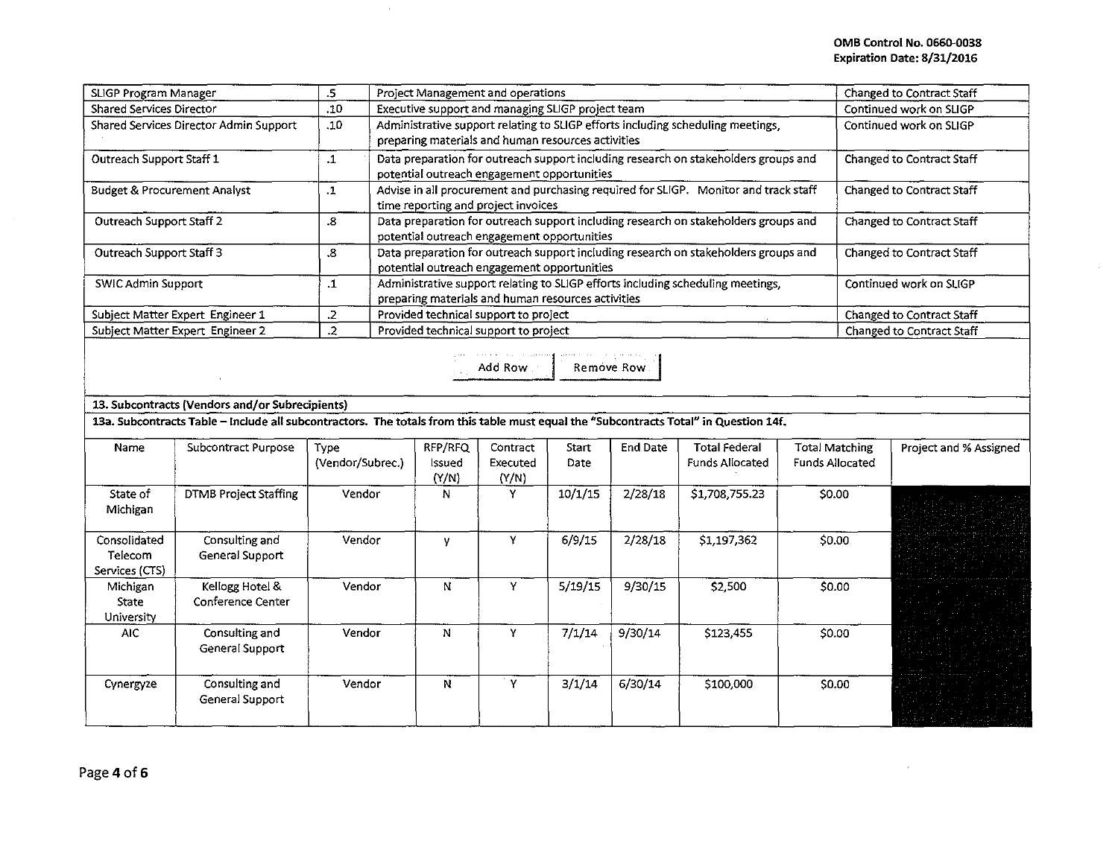| SLIGP Program Manager                   | .5  | Project Management and operations                                                                                                     | Changed to Contract Staff |
|-----------------------------------------|-----|---------------------------------------------------------------------------------------------------------------------------------------|---------------------------|
| <b>Shared Services Director</b>         | .10 | Executive support and managing SLIGP project team                                                                                     | Continued work on SLIGP   |
| Shared Services Director Admin Support  | .10 | Administrative support relating to SLIGP efforts including scheduling meetings,<br>preparing materials and human resources activities | Continued work on SLIGP   |
| Outreach Support Staff 1                | .1  | Data preparation for outreach support including research on stakeholders groups and<br>potential outreach engagement opportunities    | Changed to Contract Staff |
| <b>Budget &amp; Procurement Analyst</b> | .1  | Advise in all procurement and purchasing required for SLIGP. Monitor and track staff<br>time reporting and project invoices           | Changed to Contract Staff |
| Outreach Support Staff 2                | 8.  | Data preparation for outreach support including research on stakeholders groups and<br>potential outreach engagement opportunities    | Changed to Contract Staff |
| Outreach Support Staff 3                | .8  | Data preparation for outreach support including research on stakeholders groups and<br>potential outreach engagement opportunities    | Changed to Contract Staff |
| <b>SWIC Admin Support</b>               | - 1 | Administrative support relating to SLIGP efforts including scheduling meetings,<br>preparing materials and human resources activities | Continued work on SLIGP   |
| Subject Matter Expert Engineer 1        |     | Provided technical support to project                                                                                                 | Changed to Contract Staff |
| Subject Matter Expert Engineer 2        |     | Provided technical support to project                                                                                                 | Changed to Contract Staff |

| a consideration of the process couple and consideration | the company's state of the company's |
|---------------------------------------------------------|--------------------------------------|
| Add Row                                                 | Remove Row                           |

## 13. Subcontracts (Vendors and/or Subrecipients)

13a. Subcontracts Table - Include all subcontractors. The totals from this table must equal the "Subcontracts Total" in Question 14f.

 $\epsilon$ 

| Name                                      | Subcontract Purpose                         | Type<br>(Vendor/Subrec.) | RFP/RFQ<br>Issued<br>(Y/N) | Contract<br>Executed<br>(Y/N) | Start<br>Date | <b>End Date</b> | Total Federal<br><b>Funds Allocated</b> | <b>Total Matching</b><br><b>Funds Allocated</b> | Project and % Assigned |
|-------------------------------------------|---------------------------------------------|--------------------------|----------------------------|-------------------------------|---------------|-----------------|-----------------------------------------|-------------------------------------------------|------------------------|
| State of<br>Michigan                      | <b>DTMB Project Staffing</b>                | Vendor                   | N                          | Y                             | 10/1/15       | 2/28/18         | \$1,708,755.23                          | \$0.00                                          |                        |
| Consolidated<br>Telecom<br>Services (CTS) | Consulting and<br>General Support           | Vendor                   |                            | v                             | 6/9/15        | 2/28/18         | \$1,197,362                             | \$0.00                                          |                        |
| Michigan<br>State<br>University           | Kellogg Hotel &<br><b>Conference Center</b> | Vendor                   | N                          | Y                             | 5/19/15       | 9/30/15         | \$2,500                                 | \$0.00                                          |                        |
| AIC.                                      | Consulting and<br>General Support           | Vendor                   | N                          | Y                             | 7/1/14        | 9/30/14         | \$123,455                               | \$0.00                                          |                        |
| Cynergyze                                 | Consulting and<br>General Support           | Vendor                   | N                          | 'γ                            | 3/1/14        | 6/30/14         | \$100,000                               | \$0.00                                          |                        |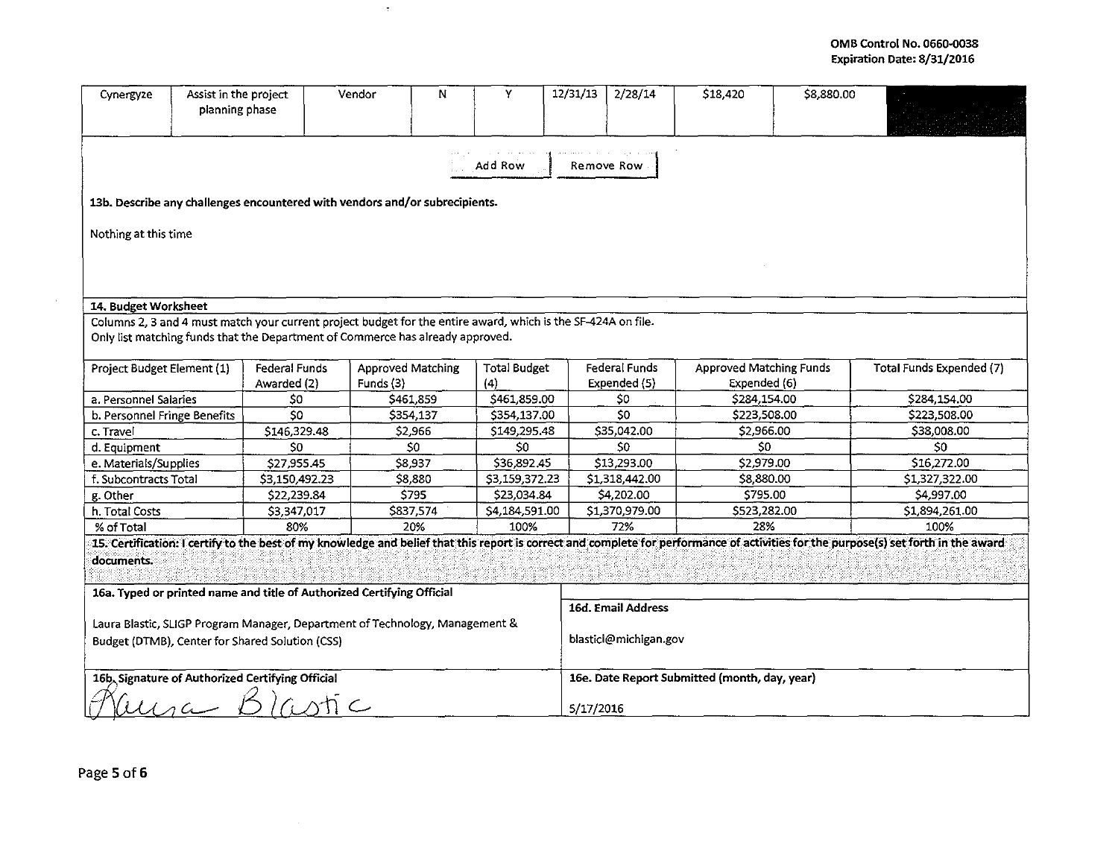## OMB Control No. 0660-o038 Expiration Date: 8/31/2016

| Cynergyze                                                                                                                                                                                          | Assist in the project<br>planning phase |                      | N<br>Vendor                                                                                                   | Y                   | 12/31/13           | 2/28/14                                       | \$18,420                       | \$8,880.00 |                          |
|----------------------------------------------------------------------------------------------------------------------------------------------------------------------------------------------------|-----------------------------------------|----------------------|---------------------------------------------------------------------------------------------------------------|---------------------|--------------------|-----------------------------------------------|--------------------------------|------------|--------------------------|
| Add Row<br>Remove Row<br>13b. Describe any challenges encountered with vendors and/or subrecipients.                                                                                               |                                         |                      |                                                                                                               |                     |                    |                                               |                                |            |                          |
|                                                                                                                                                                                                    |                                         |                      |                                                                                                               |                     |                    |                                               |                                |            |                          |
| Nothing at this time                                                                                                                                                                               |                                         |                      |                                                                                                               |                     |                    |                                               |                                |            |                          |
|                                                                                                                                                                                                    |                                         |                      |                                                                                                               |                     |                    |                                               |                                |            |                          |
|                                                                                                                                                                                                    |                                         |                      |                                                                                                               |                     |                    |                                               |                                |            |                          |
| 14. Budget Worksheet                                                                                                                                                                               |                                         |                      |                                                                                                               |                     |                    |                                               |                                |            |                          |
|                                                                                                                                                                                                    |                                         |                      | Columns 2, 3 and 4 must match your current project budget for the entire award, which is the SF-424A on file. |                     |                    |                                               |                                |            |                          |
|                                                                                                                                                                                                    |                                         |                      | Only list matching funds that the Department of Commerce has already approved.                                |                     |                    |                                               |                                |            |                          |
|                                                                                                                                                                                                    |                                         |                      |                                                                                                               |                     |                    |                                               |                                |            |                          |
| Project Budget Element (1)                                                                                                                                                                         |                                         | <b>Federal Funds</b> | <b>Approved Matching</b>                                                                                      | <b>Total Budget</b> |                    | Federal Funds                                 | <b>Approved Matching Funds</b> |            | Total Funds Expended (7) |
|                                                                                                                                                                                                    |                                         | Awarded (2)          | Funds (3)                                                                                                     | (4)                 |                    | Expended (5)                                  | Expended (6)                   |            |                          |
| a. Personnel Salaries                                                                                                                                                                              |                                         | \$0                  | \$461,859                                                                                                     | \$461,859.00        |                    | \$0                                           | \$284,154.00                   |            | \$284,154.00             |
| b. Personnel Fringe Benefits                                                                                                                                                                       |                                         | $\overline{50}$      | \$354,137                                                                                                     | \$354,137.00        |                    | \$0                                           | \$223,508.00                   |            | \$223,508.00             |
| c. Travel                                                                                                                                                                                          |                                         | \$146,329.48         | \$2,966                                                                                                       | \$149,295.48        |                    | \$35,042.00                                   | \$2,966.00                     |            | \$38,008.00              |
| d. Equipment                                                                                                                                                                                       |                                         | \$0                  | \$0                                                                                                           | \$0                 |                    | \$0                                           | \$0                            |            | 50                       |
| e. Materials/Supplies                                                                                                                                                                              |                                         | \$27,955.45          | \$8,937                                                                                                       | \$36,892.45         |                    | \$13,293.00                                   | \$2,979.00                     |            | \$16,272.00              |
| f. Subcontracts Total                                                                                                                                                                              |                                         | \$3,150,492.23       | \$8,880                                                                                                       | \$3,159,372.23      |                    | \$1,318,442.00                                | \$8,880.00                     |            | \$1,327,322.00           |
| g. Other                                                                                                                                                                                           |                                         | \$22,239.84          | \$795                                                                                                         | \$23,034.84         |                    | \$4,202.00                                    | \$795.00                       |            | \$4,997.00               |
| h. Total Costs                                                                                                                                                                                     |                                         | \$3,347,017          | \$837,574                                                                                                     | \$4,184,591.00      |                    | \$1,370,979.00                                | \$523,282.00                   |            | \$1,894,261.00           |
| % of Total                                                                                                                                                                                         |                                         | 80%                  | 20%                                                                                                           | 100%                |                    | 72%                                           | 28%                            |            | 100%                     |
| 15. Certification: I certify to the best of my knowledge and belief that this report is correct and complete for performance of activities for the purpose(s) set forth in the award<br>documents. |                                         |                      |                                                                                                               |                     |                    |                                               |                                |            |                          |
| 16a. Typed or printed name and title of Authorized Certifying Official                                                                                                                             |                                         |                      |                                                                                                               |                     |                    |                                               |                                |            |                          |
|                                                                                                                                                                                                    |                                         |                      |                                                                                                               |                     | 16d. Email Address |                                               |                                |            |                          |
| Laura Blastic, SLIGP Program Manager, Department of Technology, Management &                                                                                                                       |                                         |                      |                                                                                                               |                     |                    |                                               |                                |            |                          |
| blasticl@michigan.gov<br>Budget (DTMB), Center for Shared Solution (CSS)                                                                                                                           |                                         |                      |                                                                                                               |                     |                    |                                               |                                |            |                          |
|                                                                                                                                                                                                    |                                         |                      |                                                                                                               |                     |                    |                                               |                                |            |                          |
| 16b, Signature of Authorized Certifying Official                                                                                                                                                   |                                         |                      |                                                                                                               |                     |                    | 16e. Date Report Submitted (month, day, year) |                                |            |                          |
|                                                                                                                                                                                                    |                                         |                      |                                                                                                               |                     |                    | 5/17/2016                                     |                                |            |                          |

 $\langle \tau \rangle$ 

 $\sim 10^{-1}$ 

 $\sim 100$